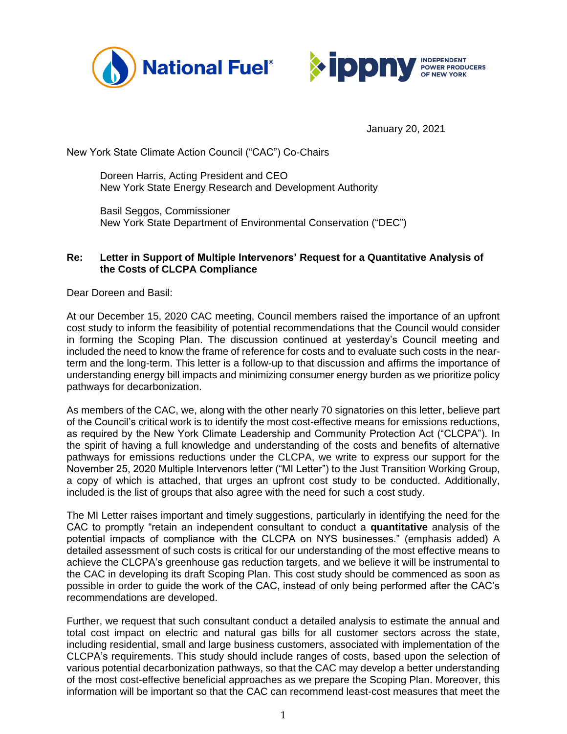



January 20, 2021

New York State Climate Action Council ("CAC") Co-Chairs

Doreen Harris, Acting President and CEO New York State Energy Research and Development Authority

Basil Seggos, Commissioner New York State Department of Environmental Conservation ("DEC")

## **Re: Letter in Support of Multiple Intervenors' Request for a Quantitative Analysis of the Costs of CLCPA Compliance**

Dear Doreen and Basil:

At our December 15, 2020 CAC meeting, Council members raised the importance of an upfront cost study to inform the feasibility of potential recommendations that the Council would consider in forming the Scoping Plan. The discussion continued at yesterday's Council meeting and included the need to know the frame of reference for costs and to evaluate such costs in the nearterm and the long-term. This letter is a follow-up to that discussion and affirms the importance of understanding energy bill impacts and minimizing consumer energy burden as we prioritize policy pathways for decarbonization.

As members of the CAC, we, along with the other nearly 70 signatories on this letter, believe part of the Council's critical work is to identify the most cost-effective means for emissions reductions, as required by the New York Climate Leadership and Community Protection Act ("CLCPA"). In the spirit of having a full knowledge and understanding of the costs and benefits of alternative pathways for emissions reductions under the CLCPA, we write to express our support for the November 25, 2020 Multiple Intervenors letter ("MI Letter") to the Just Transition Working Group, a copy of which is attached, that urges an upfront cost study to be conducted. Additionally, included is the list of groups that also agree with the need for such a cost study.

The MI Letter raises important and timely suggestions, particularly in identifying the need for the CAC to promptly "retain an independent consultant to conduct a **quantitative** analysis of the potential impacts of compliance with the CLCPA on NYS businesses." (emphasis added) A detailed assessment of such costs is critical for our understanding of the most effective means to achieve the CLCPA's greenhouse gas reduction targets, and we believe it will be instrumental to the CAC in developing its draft Scoping Plan. This cost study should be commenced as soon as possible in order to guide the work of the CAC, instead of only being performed after the CAC's recommendations are developed.

Further, we request that such consultant conduct a detailed analysis to estimate the annual and total cost impact on electric and natural gas bills for all customer sectors across the state, including residential, small and large business customers, associated with implementation of the CLCPA's requirements. This study should include ranges of costs, based upon the selection of various potential decarbonization pathways, so that the CAC may develop a better understanding of the most cost-effective beneficial approaches as we prepare the Scoping Plan. Moreover, this information will be important so that the CAC can recommend least-cost measures that meet the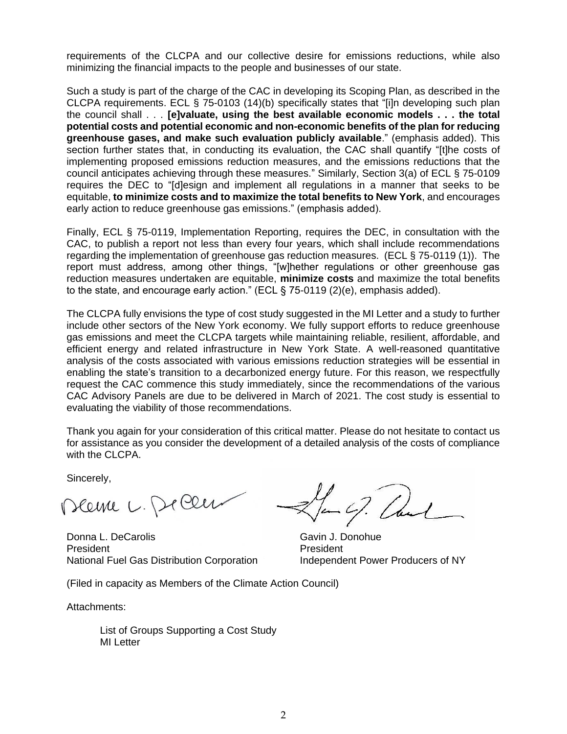requirements of the CLCPA and our collective desire for emissions reductions, while also minimizing the financial impacts to the people and businesses of our state.

Such a study is part of the charge of the CAC in developing its Scoping Plan, as described in the CLCPA requirements. ECL § 75-0103 (14)(b) specifically states that "[i]n developing such plan the council shall . . . **[e]valuate, using the best available economic models . . . the total potential costs and potential economic and non-economic benefits of the plan for reducing greenhouse gases, and make such evaluation publicly available**." (emphasis added). This section further states that, in conducting its evaluation, the CAC shall quantify "[t]he costs of implementing proposed emissions reduction measures, and the emissions reductions that the council anticipates achieving through these measures." Similarly, Section 3(a) of ECL § 75-0109 requires the DEC to "[d]esign and implement all regulations in a manner that seeks to be equitable, **to minimize costs and to maximize the total benefits to New York**, and encourages early action to reduce greenhouse gas emissions." (emphasis added).

Finally, ECL § 75-0119, Implementation Reporting, requires the DEC, in consultation with the CAC, to publish a report not less than every four years, which shall include recommendations regarding the implementation of greenhouse gas reduction measures. (ECL § 75-0119 (1)). The report must address, among other things, "[w]hether regulations or other greenhouse gas reduction measures undertaken are equitable, **minimize costs** and maximize the total benefits to the state, and encourage early action." (ECL § 75-0119 (2)(e), emphasis added).

The CLCPA fully envisions the type of cost study suggested in the MI Letter and a study to further include other sectors of the New York economy. We fully support efforts to reduce greenhouse gas emissions and meet the CLCPA targets while maintaining reliable, resilient, affordable, and efficient energy and related infrastructure in New York State. A well-reasoned quantitative analysis of the costs associated with various emissions reduction strategies will be essential in enabling the state's transition to a decarbonized energy future. For this reason, we respectfully request the CAC commence this study immediately, since the recommendations of the various CAC Advisory Panels are due to be delivered in March of 2021. The cost study is essential to evaluating the viability of those recommendations.

Thank you again for your consideration of this critical matter. Please do not hesitate to contact us for assistance as you consider the development of a detailed analysis of the costs of compliance with the CLCPA.

Sincerely,

Deeme L. Decen

Donna L. DeCarolis Carrella Cavin J. Donohue President **President** President National Fuel Gas Distribution Corporation **Independent Power Producers of NY** 

 $-67$ 

(Filed in capacity as Members of the Climate Action Council)

Attachments:

List of Groups Supporting a Cost Study MI Letter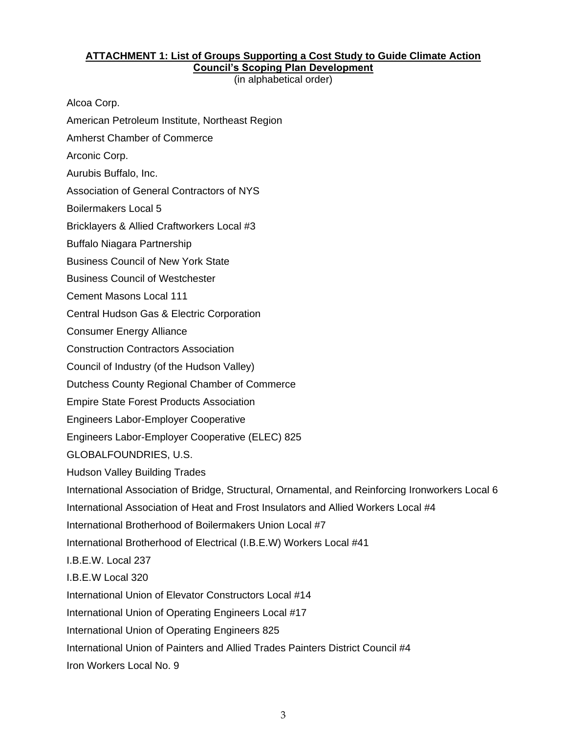## **ATTACHMENT 1: List of Groups Supporting a Cost Study to Guide Climate Action Council's Scoping Plan Development**

(in alphabetical order)

Alcoa Corp.

- American Petroleum Institute, Northeast Region
- Amherst Chamber of Commerce
- Arconic Corp.
- Aurubis Buffalo, Inc.

Association of General Contractors of NYS

Boilermakers Local 5

Bricklayers & Allied Craftworkers Local #3

Buffalo Niagara Partnership

Business Council of New York State

Business Council of Westchester

Cement Masons Local 111

Central Hudson Gas & Electric Corporation

Consumer Energy Alliance

Construction Contractors Association

Council of Industry (of the Hudson Valley)

Dutchess County Regional Chamber of Commerce

Empire State Forest Products Association

Engineers Labor-Employer Cooperative

Engineers Labor-Employer Cooperative (ELEC) 825

GLOBALFOUNDRIES, U.S.

Hudson Valley Building Trades

International Association of Bridge, Structural, Ornamental, and Reinforcing Ironworkers Local 6

International Association of Heat and Frost Insulators and Allied Workers Local #4

International Brotherhood of Boilermakers Union Local #7

International Brotherhood of Electrical (I.B.E.W) Workers Local #41

I.B.E.W. Local 237

I.B.E.W Local 320

International Union of Elevator Constructors Local #14

International Union of Operating Engineers Local #17

International Union of Operating Engineers 825

International Union of Painters and Allied Trades Painters District Council #4

Iron Workers Local No. 9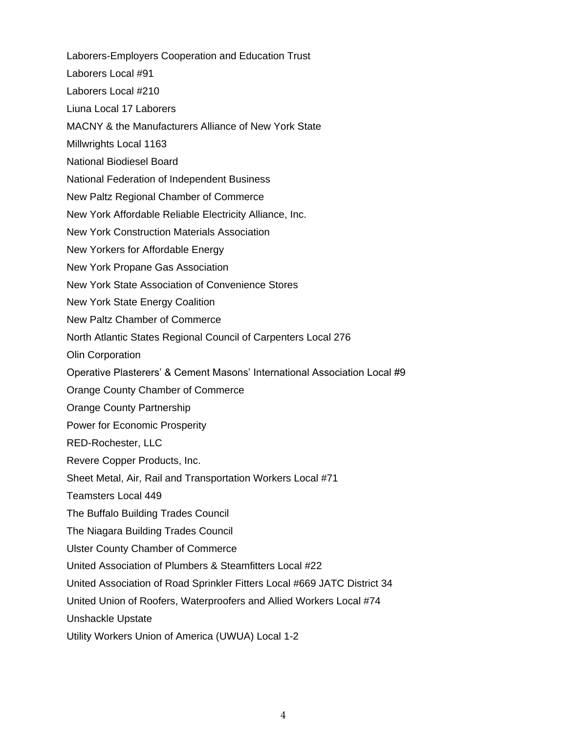Laborers-Employers Cooperation and Education Trust Laborers Local #91 Laborers Local #210 Liuna Local 17 Laborers MACNY & the Manufacturers Alliance of New York State Millwrights Local 1163 National Biodiesel Board National Federation of Independent Business New Paltz Regional Chamber of Commerce New York Affordable Reliable Electricity Alliance, Inc. New York Construction Materials Association New Yorkers for Affordable Energy New York Propane Gas Association New York State Association of Convenience Stores New York State Energy Coalition New Paltz Chamber of Commerce North Atlantic States Regional Council of Carpenters Local 276 Olin Corporation Operative Plasterers' & Cement Masons' International Association Local #9 Orange County Chamber of Commerce Orange County Partnership Power for Economic Prosperity RED-Rochester, LLC Revere Copper Products, Inc. Sheet Metal, Air, Rail and Transportation Workers Local #71 Teamsters Local 449 The Buffalo Building Trades Council The Niagara Building Trades Council Ulster County Chamber of Commerce United Association of Plumbers & Steamfitters Local #22 United Association of Road Sprinkler Fitters Local #669 JATC District 34 United Union of Roofers, Waterproofers and Allied Workers Local #74 Unshackle Upstate

Utility Workers Union of America (UWUA) Local 1-2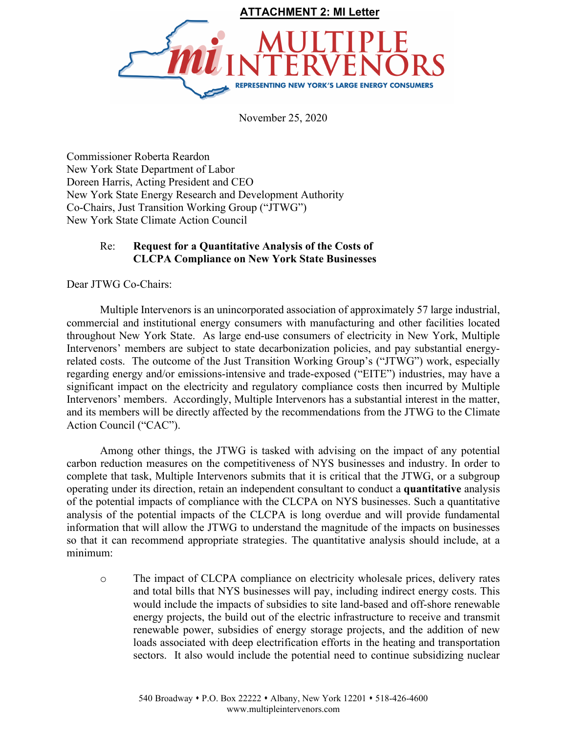

November 25, 2020

Commissioner Roberta Reardon New York State Department of Labor Doreen Harris, Acting President and CEO New York State Energy Research and Development Authority Co-Chairs, Just Transition Working Group ("JTWG") New York State Climate Action Council

## Re: **Request for a Quantitative Analysis of the Costs of CLCPA Compliance on New York State Businesses**

Dear JTWG Co-Chairs:

Multiple Intervenors is an unincorporated association of approximately 57 large industrial, commercial and institutional energy consumers with manufacturing and other facilities located throughout New York State. As large end-use consumers of electricity in New York, Multiple Intervenors' members are subject to state decarbonization policies, and pay substantial energyrelated costs. The outcome of the Just Transition Working Group's ("JTWG") work, especially regarding energy and/or emissions-intensive and trade-exposed ("EITE") industries, may have a significant impact on the electricity and regulatory compliance costs then incurred by Multiple Intervenors' members. Accordingly, Multiple Intervenors has a substantial interest in the matter, and its members will be directly affected by the recommendations from the JTWG to the Climate Action Council ("CAC").

Among other things, the JTWG is tasked with advising on the impact of any potential carbon reduction measures on the competitiveness of NYS businesses and industry. In order to complete that task, Multiple Intervenors submits that it is critical that the JTWG, or a subgroup operating under its direction, retain an independent consultant to conduct a **quantitative** analysis of the potential impacts of compliance with the CLCPA on NYS businesses. Such a quantitative analysis of the potential impacts of the CLCPA is long overdue and will provide fundamental information that will allow the JTWG to understand the magnitude of the impacts on businesses so that it can recommend appropriate strategies. The quantitative analysis should include, at a minimum:

o The impact of CLCPA compliance on electricity wholesale prices, delivery rates and total bills that NYS businesses will pay, including indirect energy costs. This would include the impacts of subsidies to site land-based and off-shore renewable energy projects, the build out of the electric infrastructure to receive and transmit renewable power, subsidies of energy storage projects, and the addition of new loads associated with deep electrification efforts in the heating and transportation sectors. It also would include the potential need to continue subsidizing nuclear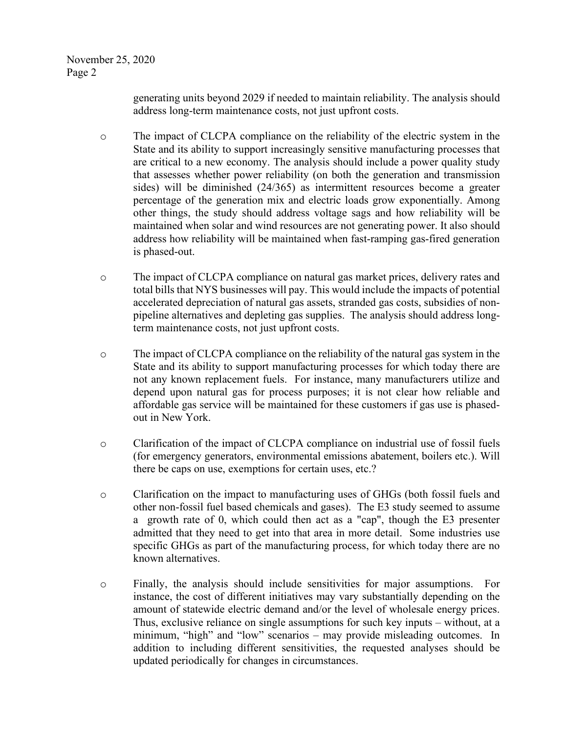generating units beyond 2029 if needed to maintain reliability. The analysis should address long-term maintenance costs, not just upfront costs.

- o The impact of CLCPA compliance on the reliability of the electric system in the State and its ability to support increasingly sensitive manufacturing processes that are critical to a new economy. The analysis should include a power quality study that assesses whether power reliability (on both the generation and transmission sides) will be diminished (24/365) as intermittent resources become a greater percentage of the generation mix and electric loads grow exponentially. Among other things, the study should address voltage sags and how reliability will be maintained when solar and wind resources are not generating power. It also should address how reliability will be maintained when fast-ramping gas-fired generation is phased-out.
- o The impact of CLCPA compliance on natural gas market prices, delivery rates and total bills that NYS businesses will pay. This would include the impacts of potential accelerated depreciation of natural gas assets, stranded gas costs, subsidies of nonpipeline alternatives and depleting gas supplies. The analysis should address longterm maintenance costs, not just upfront costs.
- o The impact of CLCPA compliance on the reliability of the natural gas system in the State and its ability to support manufacturing processes for which today there are not any known replacement fuels. For instance, many manufacturers utilize and depend upon natural gas for process purposes; it is not clear how reliable and affordable gas service will be maintained for these customers if gas use is phasedout in New York.
- o Clarification of the impact of CLCPA compliance on industrial use of fossil fuels (for emergency generators, environmental emissions abatement, boilers etc.). Will there be caps on use, exemptions for certain uses, etc.?
- o Clarification on the impact to manufacturing uses of GHGs (both fossil fuels and other non-fossil fuel based chemicals and gases). The E3 study seemed to assume a growth rate of 0, which could then act as a "cap", though the E3 presenter admitted that they need to get into that area in more detail. Some industries use specific GHGs as part of the manufacturing process, for which today there are no known alternatives.
- o Finally, the analysis should include sensitivities for major assumptions. For instance, the cost of different initiatives may vary substantially depending on the amount of statewide electric demand and/or the level of wholesale energy prices. Thus, exclusive reliance on single assumptions for such key inputs – without, at a minimum, "high" and "low" scenarios – may provide misleading outcomes. In addition to including different sensitivities, the requested analyses should be updated periodically for changes in circumstances.